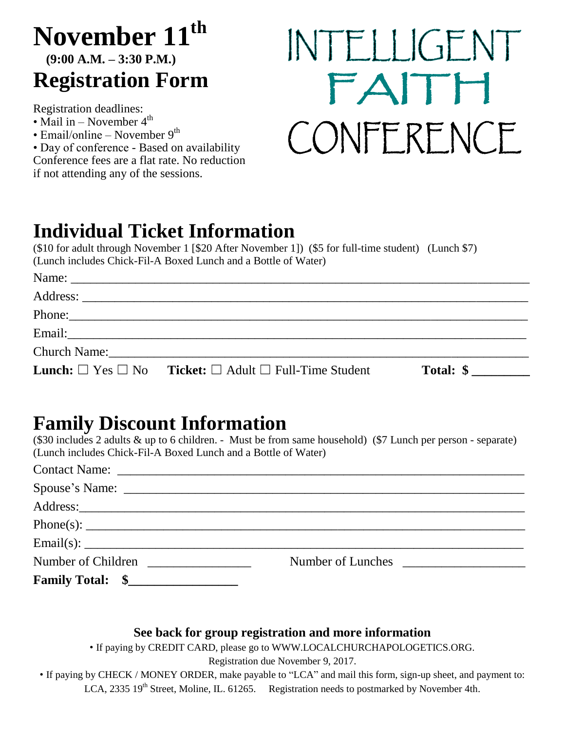## **November 11th (9:00 A.M. – 3:30 P.M.) Registration Form**

Registration deadlines:

- Mail in November  $4^{\text{th}}$
- Email/online November  $9<sup>th</sup>$

• Day of conference - Based on availability Conference fees are a flat rate. No reduction if not attending any of the sessions.

# INTELLIGENT FAITH CONFERENCE

## **Individual Ticket Information**

(\$10 for adult through November 1 [\$20 After November 1]) (\$5 for full-time student) (Lunch \$7) (Lunch includes Chick-Fil-A Boxed Lunch and a Bottle of Water)

| <b>Lunch:</b> $\Box$ Yes $\Box$ No <b>Ticket:</b> $\Box$ Adult $\Box$ Full-Time Student                                                                                                                                        | Total: \$ |  |
|--------------------------------------------------------------------------------------------------------------------------------------------------------------------------------------------------------------------------------|-----------|--|
|                                                                                                                                                                                                                                |           |  |
|                                                                                                                                                                                                                                |           |  |
| Phone: 2008 and 2008 and 2008 and 2008 and 2008 and 2008 and 2008 and 2008 and 2008 and 2008 and 2008 and 2008 and 2008 and 2008 and 2008 and 2008 and 2008 and 2008 and 2008 and 2008 and 2008 and 2008 and 2008 and 2008 and |           |  |
|                                                                                                                                                                                                                                |           |  |
|                                                                                                                                                                                                                                |           |  |

## **Family Discount Information**

(\$30 includes 2 adults & up to 6 children. - Must be from same household) (\$7 Lunch per person - separate) (Lunch includes Chick-Fil-A Boxed Lunch and a Bottle of Water)

|                         | Email(s):         |
|-------------------------|-------------------|
| Number of Children      | Number of Lunches |
| <b>Family Total: \$</b> |                   |

### **See back for group registration and more information**

• If paying by CREDIT CARD, please go to WWW.LOCALCHURCHAPOLOGETICS.ORG.

Registration due November 9, 2017.

• If paying by CHECK / MONEY ORDER, make payable to "LCA" and mail this form, sign-up sheet, and payment to: LCA, 2335 19<sup>th</sup> Street, Moline, IL. 61265. Registration needs to postmarked by November 4th.